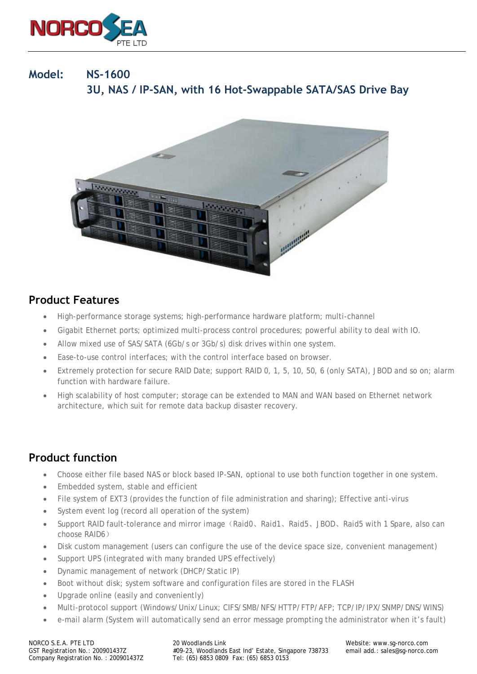

# **Model: NS-1600 3U, NAS / IP-SAN, with 16 Hot-Swappable SATA/SAS Drive Bay**



#### **Product Features**

- High-performance storage systems; high-performance hardware platform; multi-channel
- Gigabit Ethernet ports; optimized multi-process control procedures; powerful ability to deal with IO.
- Allow mixed use of SAS/SATA (6Gb/s or 3Gb/s) disk drives within one system.
- Ease-to-use control interfaces; with the control interface based on browser.
- Extremely protection for secure RAID Date; support RAID 0, 1, 5, 10, 50, 6 (only SATA), JBOD and so on; alarm function with hardware failure.
- High scalability of host computer; storage can be extended to MAN and WAN based on Ethernet network architecture, which suit for remote data backup disaster recovery.

### **Product function**

- Choose either file based NAS or block based IP-SAN, optional to use both function together in one system.
- Embedded system, stable and efficient
- File system of EXT3 (provides the function of file administration and sharing); Effective anti-virus
- System event log (record all operation of the system)
- Support RAID fault-tolerance and mirror image(Raid0、Raid1、Raid5、JBOD、Raid5 with 1 Spare, also can choose RAID6)
- Disk custom management (users can configure the use of the device space size, convenient management)
- Support UPS (integrated with many branded UPS effectively)
- Dynamic management of network (DHCP/Static IP)
- Boot without disk; system software and configuration files are stored in the FLASH
- Upgrade online (easily and conveniently)
- Multi-protocol support (Windows/Unix/Linux; CIFS/SMB/NFS/HTTP/FTP/AFP; TCP/IP/IPX/SNMP/DNS/WINS)
- e-mail alarm (System will automatically send an error message prompting the administrator when it's fault)